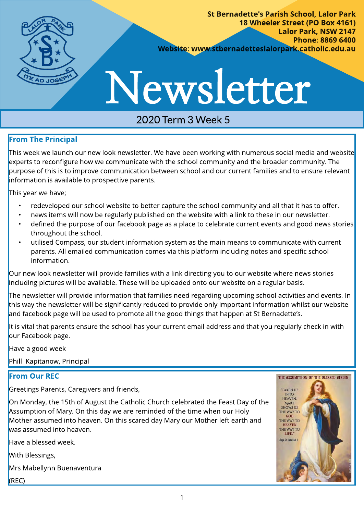

St Bernadette's Parish School, Lalor Park 18 Wheeler Street (PO Box 4161) Lalor Park, NSW 2147 Phone: 8869 6400 Website: www.stbernadetteslalorpark.catholic.edu.au

# Newsletter

## 2020 Term 3 Week 5

#### From The Principal

This week we launch our new look newsletter. We have been working with numerous social media and website experts to reconfigure how we communicate with the school community and the broader community. The purpose of this is to improve communication between school and our current families and to ensure relevant information is available to prospective parents.

This year we have;

- redeveloped our school website to better capture the school community and all that it has to offer.
- news items will now be regularly published on the website with a link to these in our newsletter.
- defined the purpose of our facebook page as a place to celebrate current events and good news stories throughout the school.
- utilised Compass, our student information system as the main means to communicate with current parents. All emailed communication comes via this platform including notes and specific school information.

Our new look newsletter will provide families with a link directing you to our website where news stories including pictures will be available. These will be uploaded onto our website on a regular basis.

The newsletter will provide information that families need regarding upcoming school activities and events. In this way the newsletter will be significantly reduced to provide only important information whilst our website and facebook page will be used to promote all the good things that happen at St Bernadette's.

It is vital that parents ensure the school has your current email address and that you regularly check in with our Facebook page.

Have a good week

Phill Kapitanow, Principal

#### From Our REC

Greetings Parents, Caregivers and friends,

On Monday, the 15th of August the Catholic Church celebrated the Feast Day of the Assumption of Mary. On this day we are reminded of the time when our Holy Mother assumed into heaven. On this scared day Mary our Mother left earth and was assumed into heaven.

Have a blessed week.

With Blessings,

Mrs Mabellynn Buenaventura

(REC)

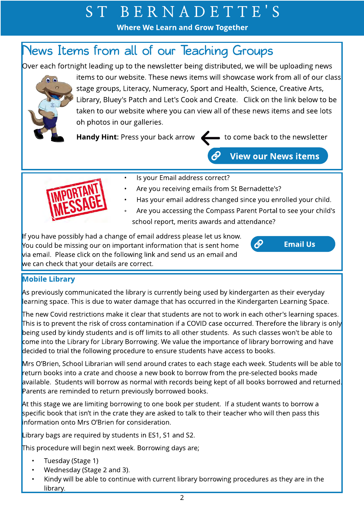## S T B E R N A D E T T E ' S

Where We Learn and Grow Together

## News Items from all of our Teaching Groups

Over each fortnight leading up to the newsletter being distributed, we will be uploading news



items to our website. These news items will showcase work from all of our class stage groups, Literacy, Numeracy, Sport and Health, Science, Creative Arts, Library, Bluey's Patch and Let's Cook and Create. Click on the link below to be taken to our website where you can view all of these news items and see lots oh photos in our galleries.

Handy Hint: Press your back arrow to come back to the newsletter

[Em ail Us](mailto:stbernadetteslpark@parra.catholic.edu.au)

**View our News items** 

 $\partial$ 



- Is your Email address correct?
- Are you receiving emails from St Bernadette's?
- Has your email address changed since you enrolled your child.
- Are you accessing the Compass Parent Portal to see your child's school report, merits awards and attendance?

If you have possibly had a change of email address please let us know. You could be missing our on important information that is sent home via email. Please click on the following link and send us an email and we can check that your details are correct.

#### Mobile Library

As previously communicated the library is currently being used by kindergarten as their everyday learning space. This is due to water damage that has occurred in the Kindergarten Learning Space.

The new Covid restrictions make it clear that students are not to work in each other's learning spaces. This is to prevent the risk of cross contamination if a COVID case occurred. Therefore the library is only being used by kindy students and is off limits to all other students. As such classes won't be able to come into the Library for Library Borrowing. We value the importance of library borrowing and have decided to trial the following procedure to ensure students have access to books.

Mrs O'Brien, School Librarian will send around crates to each stage each week. Students will be able to return books into a crate and choose a new book to borrow from the pre-selected books made available. Students will borrow as normal with records being kept of all books borrowed and returned. Parents are reminded to return previously borrowed books.

At this stage we are limiting borrowing to one book per student. If a student wants to borrow a specific book that isn't in the crate they are asked to talk to their teacher who will then pass this information onto Mrs O?Brien for consideration.

Library bags are required by students in ES1, S1 and S2.

This procedure will begin next week. Borrowing days are;

- Tuesday (Stage 1)
- Wednesday (Stage 2 and 3).
- Kindy will be able to continue with current library borrowing procedures as they are in the library.

2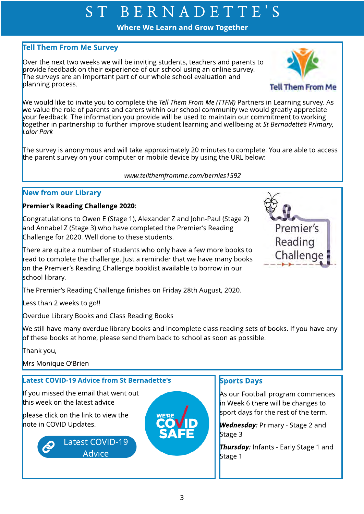## S T B E R N A D E T T E ' S

Where We Learn and Grow Together

#### Tell Them From Me Survey

Over the next two weeks we will be inviting students, teachers and parents to provide feedback on their experience of our school using an online survey. The surveys are an important part of our whole school evaluation and planning process.



Premier's

Reading

Challenge

We would like to invite you to complete the **Tell Them From Me (TTFM)** Partners in Learning survey. As we value the role of parents and carers within our school community we would greatly appreciate your feedback. The information you provide will be used to maintain our commitment to working together in partnership to further improve student learning and wellbeing at **St Bernadette?s Primary, Lalor Park**

The survey is anonymous and will take approximately 20 minutes to complete. You are able to access the parent survey on your computer or mobile device by using the URL below:

#### **www.tellthemfromme.com/bernies1592**

#### New from our Library

#### Premier's Reading Challenge 2020:

Congratulations to Owen E (Stage 1), Alexander Z and John-Paul (Stage 2) and Annabel Z (Stage 3) who have completed the Premier's Reading Challenge for 2020. Well done to these students.

There are quite a number of students who only have a few more books to read to complete the challenge. Just a reminder that we have many books on the Premier's Reading Challenge booklist available to borrow in our school library.

The Premier's Reading Challenge finishes on Friday 28th August, 2020.

Less than 2 weeks to go!!

Overdue Library Books and Class Reading Books

We still have many overdue library books and incomplete class reading sets of books. If you have any of these books at home, please send them back to school as soon as possible.

Thank you,

Mrs Monique O'Brien

#### **Latest COVID-19 Advice from St Bernadette's**

If you missed the email that went out this week on the latest advice

please click on the link to view the note in COVID Updates.

> [Latest COVID-19](https://www.stbernadetteslalorpark.catholic.edu.au/Community/School-Notes)  Advice



#### **Sports Days**

As our Football program commences in Week 6 there will be changes to sport days for the rest of the term.

**Wednesday:** Primary - Stage 2 and Stage 3

**Thursday:** Infants - Early Stage 1 and Stage 1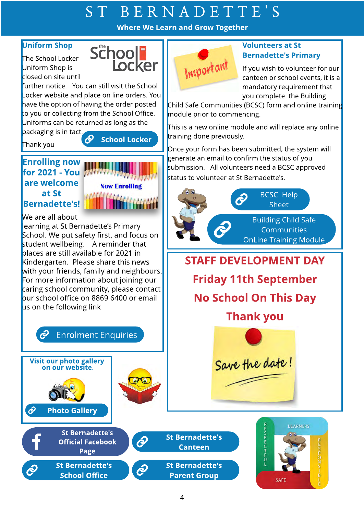# S T B E R N A D E T T E ' S

Where We Learn and Grow Together

#### Uniform Shop

The School Locker Uniform Shop is closed on site until



further notice. You can still visit the School Locker website and place on line orders. You have the option of having the order posted to you or collecting from the School Office. Uniforms can be returned as long as the

packaging is in tact.

Thank you  $\bigotimes$  School Locker

#### Enrolling now for 2021 - You are welcome at St **Bernadette's!**



We are all about

learning at St Bernadette?s Primary School. We put safety first, and focus on student wellbeing. A reminder that places are still available for 2021 in Kindergarten. Please share this news with your friends, family and neighbours. For more information about joining our caring school community, please contact our school office on 8869 6400 or email us on the following link

#### $\partial$ [Enrolment Enquiries](https://www.stbernadetteslalorpark.catholic.edu.au/Enrol/How-to-enrol)



**St Bernadette's** School Office



#### Volunt eers at St **Bernadette's Primary**

If you wish to volunteer for our canteen or school events, it is a mandatory requirement that you complete the Building

Child Safe Communities (BCSC) form and online training module prior to commencing.

This is a new online module and will replace any online training done previously.

Once your form has been submitted, the system will generate an email to confirm the status of you submission. All volunteers need a BCSC approved status to volunteer at St Bernadette's.



**Friday 11th September** No School On This Day